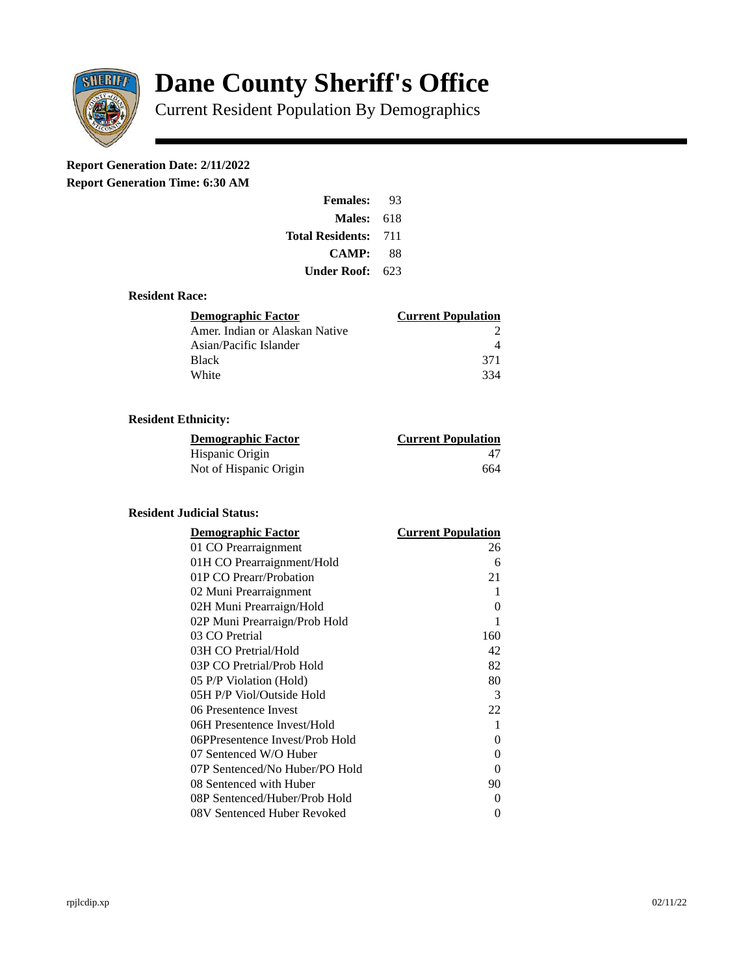

# **Dane County Sheriff's Office**

Current Resident Population By Demographics

# **Report Generation Date: 2/11/2022**

**Report Generation Time: 6:30 AM** 

| <b>Females:</b>         | 93  |  |
|-------------------------|-----|--|
| Males:                  | 618 |  |
| <b>Total Residents:</b> | 711 |  |
| <b>CAMP:</b>            | 88  |  |
| Under Roof:             | 623 |  |

### **Resident Race:**

| Demographic Factor             | <b>Current Population</b> |
|--------------------------------|---------------------------|
| Amer. Indian or Alaskan Native |                           |
| Asian/Pacific Islander         |                           |
| Black                          | 371                       |
| White                          | 334                       |

## **Resident Ethnicity:**

| <u> Demographic Factor</u> | <b>Current Population</b> |
|----------------------------|---------------------------|
| Hispanic Origin            | 47                        |
| Not of Hispanic Origin     | 664                       |

#### **Resident Judicial Status:**

| <b>Demographic Factor</b>       | <b>Current Population</b> |
|---------------------------------|---------------------------|
| 01 CO Prearraignment            | 26                        |
| 01H CO Prearraignment/Hold      | 6                         |
| 01P CO Prearr/Probation         | 21                        |
| 02 Muni Prearraignment          | 1                         |
| 02H Muni Prearraign/Hold        | 0                         |
| 02P Muni Prearraign/Prob Hold   | 1                         |
| 03 CO Pretrial                  | 160                       |
| 03H CO Pretrial/Hold            | 42                        |
| 03P CO Pretrial/Prob Hold       | 82                        |
| 05 P/P Violation (Hold)         | 80                        |
| 05H P/P Viol/Outside Hold       | 3                         |
| 06 Presentence Invest           | 22                        |
| 06H Presentence Invest/Hold     | 1                         |
| 06PPresentence Invest/Prob Hold | 0                         |
| 07 Sentenced W/O Huber          | 0                         |
| 07P Sentenced/No Huber/PO Hold  | 0                         |
| 08 Sentenced with Huber         | 90                        |
| 08P Sentenced/Huber/Prob Hold   | O                         |
| 08V Sentenced Huber Revoked     | 0                         |